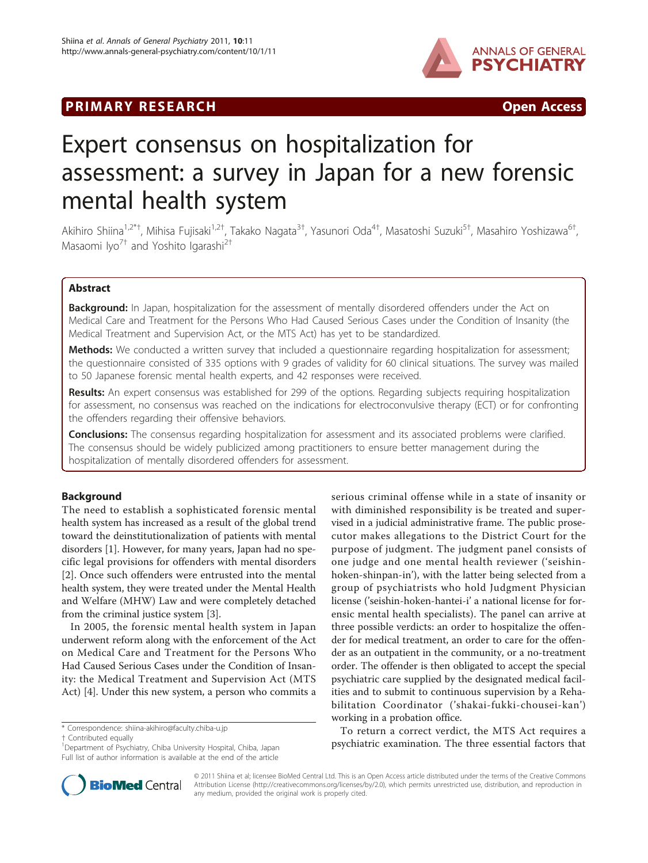# PRIMARY RESEARCH **CONSERVING ACCESS**



# Expert consensus on hospitalization for assessment: a survey in Japan for a new forensic mental health system

Akihiro Shiina<sup>1,2\*†</sup>, Mihisa Fujisaki<sup>1,2†</sup>, Takako Nagata<sup>3†</sup>, Yasunori Oda<sup>4†</sup>, Masatoshi Suzuki<sup>5†</sup>, Masahiro Yoshizawa<sup>6†</sup> , Masaomi Iyo<sup>7†</sup> and Yoshito Igarashi<sup>2†</sup>

# Abstract

**Background:** In Japan, hospitalization for the assessment of mentally disordered offenders under the Act on Medical Care and Treatment for the Persons Who Had Caused Serious Cases under the Condition of Insanity (the Medical Treatment and Supervision Act, or the MTS Act) has yet to be standardized.

Methods: We conducted a written survey that included a questionnaire regarding hospitalization for assessment; the questionnaire consisted of 335 options with 9 grades of validity for 60 clinical situations. The survey was mailed to 50 Japanese forensic mental health experts, and 42 responses were received.

Results: An expert consensus was established for 299 of the options. Regarding subjects requiring hospitalization for assessment, no consensus was reached on the indications for electroconvulsive therapy (ECT) or for confronting the offenders regarding their offensive behaviors.

Conclusions: The consensus regarding hospitalization for assessment and its associated problems were clarified. The consensus should be widely publicized among practitioners to ensure better management during the hospitalization of mentally disordered offenders for assessment.

# Background

The need to establish a sophisticated forensic mental health system has increased as a result of the global trend toward the deinstitutionalization of patients with mental disorders [[1\]](#page-9-0). However, for many years, Japan had no specific legal provisions for offenders with mental disorders [[2\]](#page-9-0). Once such offenders were entrusted into the mental health system, they were treated under the Mental Health and Welfare (MHW) Law and were completely detached from the criminal justice system [\[3\]](#page-9-0).

In 2005, the forensic mental health system in Japan underwent reform along with the enforcement of the Act on Medical Care and Treatment for the Persons Who Had Caused Serious Cases under the Condition of Insanity: the Medical Treatment and Supervision Act (MTS Act) [\[4](#page-9-0)]. Under this new system, a person who commits a

\* Correspondence: [shiina-akihiro@faculty.chiba-u.jp](mailto:shiina-akihiro@faculty.chiba-u.jp)

† Contributed equally <sup>1</sup>

<sup>1</sup>Department of Psychiatry, Chiba University Hospital, Chiba, Japan Full list of author information is available at the end of the article



To return a correct verdict, the MTS Act requires a psychiatric examination. The three essential factors that



© 2011 Shiina et al; licensee BioMed Central Ltd. This is an Open Access article distributed under the terms of the Creative Commons Attribution License [\(http://creativecommons.org/licenses/by/2.0](http://creativecommons.org/licenses/by/2.0)), which permits unrestricted use, distribution, and reproduction in any medium, provided the original work is properly cited.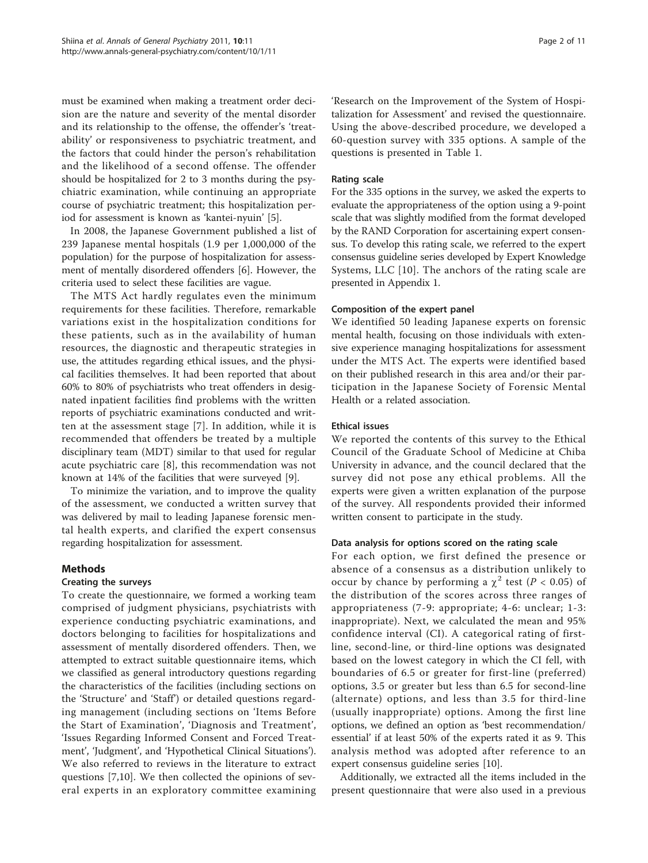must be examined when making a treatment order decision are the nature and severity of the mental disorder and its relationship to the offense, the offender's 'treatability' or responsiveness to psychiatric treatment, and the factors that could hinder the person's rehabilitation and the likelihood of a second offense. The offender should be hospitalized for 2 to 3 months during the psychiatric examination, while continuing an appropriate course of psychiatric treatment; this hospitalization period for assessment is known as 'kantei-nyuin' [[5\]](#page-9-0).

In 2008, the Japanese Government published a list of 239 Japanese mental hospitals (1.9 per 1,000,000 of the population) for the purpose of hospitalization for assessment of mentally disordered offenders [[6\]](#page-9-0). However, the criteria used to select these facilities are vague.

The MTS Act hardly regulates even the minimum requirements for these facilities. Therefore, remarkable variations exist in the hospitalization conditions for these patients, such as in the availability of human resources, the diagnostic and therapeutic strategies in use, the attitudes regarding ethical issues, and the physical facilities themselves. It had been reported that about 60% to 80% of psychiatrists who treat offenders in designated inpatient facilities find problems with the written reports of psychiatric examinations conducted and written at the assessment stage [[7\]](#page-9-0). In addition, while it is recommended that offenders be treated by a multiple disciplinary team (MDT) similar to that used for regular acute psychiatric care [[8\]](#page-9-0), this recommendation was not known at 14% of the facilities that were surveyed [\[9](#page-9-0)].

To minimize the variation, and to improve the quality of the assessment, we conducted a written survey that was delivered by mail to leading Japanese forensic mental health experts, and clarified the expert consensus regarding hospitalization for assessment.

# Methods

# Creating the surveys

To create the questionnaire, we formed a working team comprised of judgment physicians, psychiatrists with experience conducting psychiatric examinations, and doctors belonging to facilities for hospitalizations and assessment of mentally disordered offenders. Then, we attempted to extract suitable questionnaire items, which we classified as general introductory questions regarding the characteristics of the facilities (including sections on the 'Structure' and 'Staff') or detailed questions regarding management (including sections on 'Items Before the Start of Examination', 'Diagnosis and Treatment', 'Issues Regarding Informed Consent and Forced Treatment', 'Judgment', and 'Hypothetical Clinical Situations'). We also referred to reviews in the literature to extract questions [\[7](#page-9-0),[10](#page-9-0)]. We then collected the opinions of several experts in an exploratory committee examining 'Research on the Improvement of the System of Hospitalization for Assessment' and revised the questionnaire. Using the above-described procedure, we developed a 60-question survey with 335 options. A sample of the questions is presented in Table [1.](#page-2-0)

# Rating scale

For the 335 options in the survey, we asked the experts to evaluate the appropriateness of the option using a 9-point scale that was slightly modified from the format developed by the RAND Corporation for ascertaining expert consensus. To develop this rating scale, we referred to the expert consensus guideline series developed by Expert Knowledge Systems, LLC [\[10\]](#page-9-0). The anchors of the rating scale are presented in Appendix 1.

# Composition of the expert panel

We identified 50 leading Japanese experts on forensic mental health, focusing on those individuals with extensive experience managing hospitalizations for assessment under the MTS Act. The experts were identified based on their published research in this area and/or their participation in the Japanese Society of Forensic Mental Health or a related association.

# Ethical issues

We reported the contents of this survey to the Ethical Council of the Graduate School of Medicine at Chiba University in advance, and the council declared that the survey did not pose any ethical problems. All the experts were given a written explanation of the purpose of the survey. All respondents provided their informed written consent to participate in the study.

# Data analysis for options scored on the rating scale

For each option, we first defined the presence or absence of a consensus as a distribution unlikely to occur by chance by performing a  $\chi^2$  test (P < 0.05) of the distribution of the scores across three ranges of appropriateness (7-9: appropriate; 4-6: unclear; 1-3: inappropriate). Next, we calculated the mean and 95% confidence interval (CI). A categorical rating of firstline, second-line, or third-line options was designated based on the lowest category in which the CI fell, with boundaries of 6.5 or greater for first-line (preferred) options, 3.5 or greater but less than 6.5 for second-line (alternate) options, and less than 3.5 for third-line (usually inappropriate) options. Among the first line options, we defined an option as 'best recommendation/ essential' if at least 50% of the experts rated it as 9. This analysis method was adopted after reference to an expert consensus guideline series [[10\]](#page-9-0).

Additionally, we extracted all the items included in the present questionnaire that were also used in a previous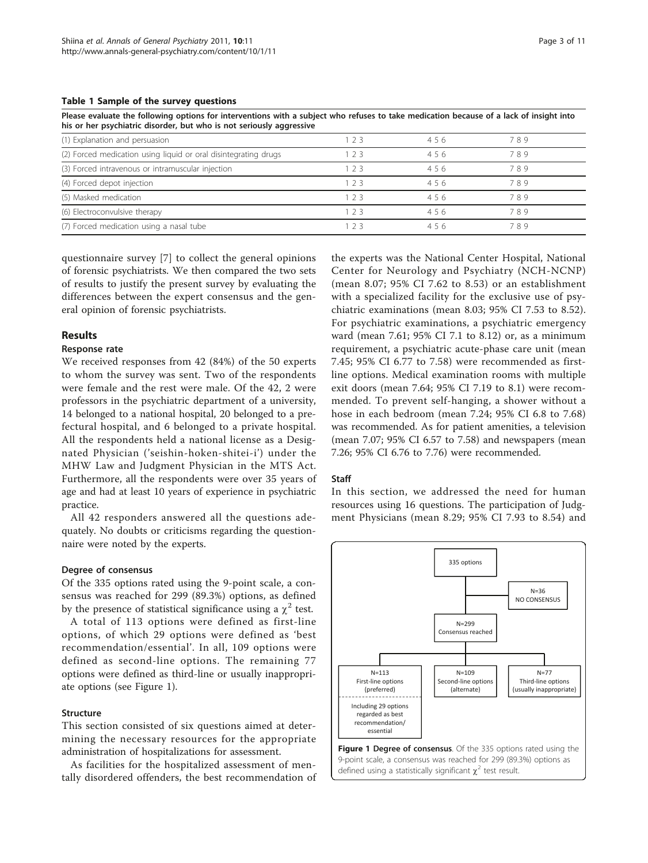<span id="page-2-0"></span>Please evaluate the following options for interventions with a subject who refuses to take medication because of a lack of insight into his or her psychiatric disorder, but who is not seriously aggressive

| (1) Explanation and persuasion                                  | 23  | 456 | 789 |  |
|-----------------------------------------------------------------|-----|-----|-----|--|
| (2) Forced medication using liquid or oral disintegrating drugs | 23  | 456 | 789 |  |
| (3) Forced intravenous or intramuscular injection               | フ3  | 456 | 789 |  |
| (4) Forced depot injection                                      | 23  | 456 | 789 |  |
| (5) Masked medication                                           | -23 | 456 | 789 |  |
| (6) Electroconvulsive therapy                                   | -23 | 456 | 789 |  |
| (7) Forced medication using a nasal tube                        |     | 456 | 789 |  |

questionnaire survey [[7](#page-9-0)] to collect the general opinions of forensic psychiatrists. We then compared the two sets of results to justify the present survey by evaluating the differences between the expert consensus and the general opinion of forensic psychiatrists.

#### Results

#### Response rate

We received responses from 42 (84%) of the 50 experts to whom the survey was sent. Two of the respondents were female and the rest were male. Of the 42, 2 were professors in the psychiatric department of a university, 14 belonged to a national hospital, 20 belonged to a prefectural hospital, and 6 belonged to a private hospital. All the respondents held a national license as a Designated Physician ('seishin-hoken-shitei-i') under the MHW Law and Judgment Physician in the MTS Act. Furthermore, all the respondents were over 35 years of age and had at least 10 years of experience in psychiatric practice.

All 42 responders answered all the questions adequately. No doubts or criticisms regarding the questionnaire were noted by the experts.

#### Degree of consensus

Of the 335 options rated using the 9-point scale, a consensus was reached for 299 (89.3%) options, as defined by the presence of statistical significance using a  $\chi^2$  test.

A total of 113 options were defined as first-line options, of which 29 options were defined as 'best recommendation/essential'. In all, 109 options were defined as second-line options. The remaining 77 options were defined as third-line or usually inappropriate options (see Figure 1).

### Structure

This section consisted of six questions aimed at determining the necessary resources for the appropriate administration of hospitalizations for assessment.

As facilities for the hospitalized assessment of mentally disordered offenders, the best recommendation of

the experts was the National Center Hospital, National Center for Neurology and Psychiatry (NCH-NCNP) (mean 8.07; 95% CI 7.62 to 8.53) or an establishment with a specialized facility for the exclusive use of psychiatric examinations (mean 8.03; 95% CI 7.53 to 8.52). For psychiatric examinations, a psychiatric emergency ward (mean 7.61; 95% CI 7.1 to 8.12) or, as a minimum requirement, a psychiatric acute-phase care unit (mean 7.45; 95% CI 6.77 to 7.58) were recommended as firstline options. Medical examination rooms with multiple exit doors (mean 7.64; 95% CI 7.19 to 8.1) were recommended. To prevent self-hanging, a shower without a hose in each bedroom (mean 7.24; 95% CI 6.8 to 7.68) was recommended. As for patient amenities, a television (mean 7.07; 95% CI 6.57 to 7.58) and newspapers (mean 7.26; 95% CI 6.76 to 7.76) were recommended.

#### Staff

In this section, we addressed the need for human resources using 16 questions. The participation of Judgment Physicians (mean 8.29; 95% CI 7.93 to 8.54) and

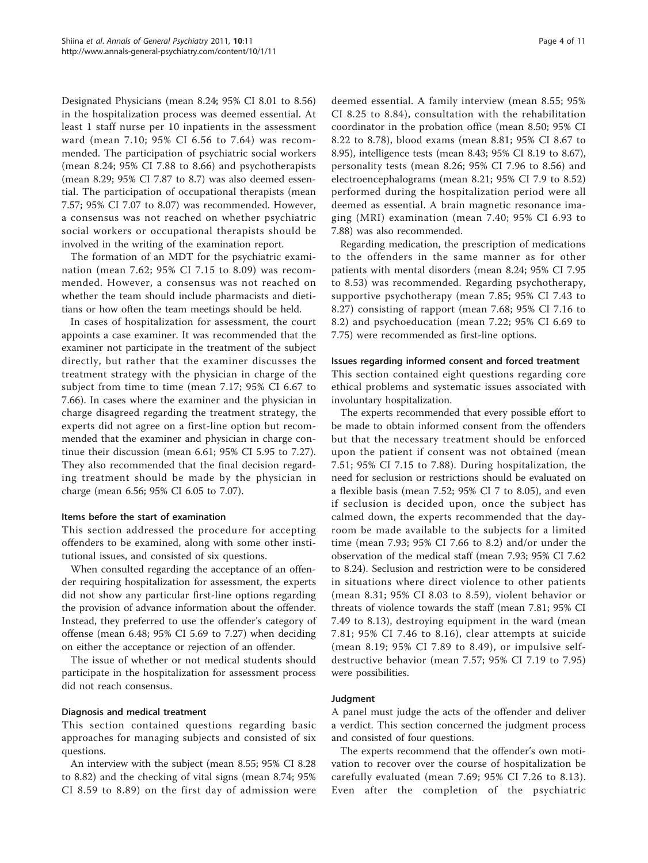Designated Physicians (mean 8.24; 95% CI 8.01 to 8.56) in the hospitalization process was deemed essential. At least 1 staff nurse per 10 inpatients in the assessment ward (mean 7.10; 95% CI 6.56 to 7.64) was recommended. The participation of psychiatric social workers (mean 8.24; 95% CI 7.88 to 8.66) and psychotherapists (mean 8.29; 95% CI 7.87 to 8.7) was also deemed essential. The participation of occupational therapists (mean 7.57; 95% CI 7.07 to 8.07) was recommended. However, a consensus was not reached on whether psychiatric social workers or occupational therapists should be involved in the writing of the examination report.

The formation of an MDT for the psychiatric examination (mean 7.62; 95% CI 7.15 to 8.09) was recommended. However, a consensus was not reached on whether the team should include pharmacists and dietitians or how often the team meetings should be held.

In cases of hospitalization for assessment, the court appoints a case examiner. It was recommended that the examiner not participate in the treatment of the subject directly, but rather that the examiner discusses the treatment strategy with the physician in charge of the subject from time to time (mean 7.17; 95% CI 6.67 to 7.66). In cases where the examiner and the physician in charge disagreed regarding the treatment strategy, the experts did not agree on a first-line option but recommended that the examiner and physician in charge continue their discussion (mean 6.61; 95% CI 5.95 to 7.27). They also recommended that the final decision regarding treatment should be made by the physician in charge (mean 6.56; 95% CI 6.05 to 7.07).

#### Items before the start of examination

This section addressed the procedure for accepting offenders to be examined, along with some other institutional issues, and consisted of six questions.

When consulted regarding the acceptance of an offender requiring hospitalization for assessment, the experts did not show any particular first-line options regarding the provision of advance information about the offender. Instead, they preferred to use the offender's category of offense (mean 6.48; 95% CI 5.69 to 7.27) when deciding on either the acceptance or rejection of an offender.

The issue of whether or not medical students should participate in the hospitalization for assessment process did not reach consensus.

#### Diagnosis and medical treatment

This section contained questions regarding basic approaches for managing subjects and consisted of six questions.

An interview with the subject (mean 8.55; 95% CI 8.28 to 8.82) and the checking of vital signs (mean 8.74; 95% CI 8.59 to 8.89) on the first day of admission were deemed essential. A family interview (mean 8.55; 95% CI 8.25 to 8.84), consultation with the rehabilitation coordinator in the probation office (mean 8.50; 95% CI 8.22 to 8.78), blood exams (mean 8.81; 95% CI 8.67 to 8.95), intelligence tests (mean 8.43; 95% CI 8.19 to 8.67), personality tests (mean 8.26; 95% CI 7.96 to 8.56) and electroencephalograms (mean 8.21; 95% CI 7.9 to 8.52) performed during the hospitalization period were all deemed as essential. A brain magnetic resonance imaging (MRI) examination (mean 7.40; 95% CI 6.93 to 7.88) was also recommended.

Regarding medication, the prescription of medications to the offenders in the same manner as for other patients with mental disorders (mean 8.24; 95% CI 7.95 to 8.53) was recommended. Regarding psychotherapy, supportive psychotherapy (mean 7.85; 95% CI 7.43 to 8.27) consisting of rapport (mean 7.68; 95% CI 7.16 to 8.2) and psychoeducation (mean 7.22; 95% CI 6.69 to 7.75) were recommended as first-line options.

#### Issues regarding informed consent and forced treatment

This section contained eight questions regarding core ethical problems and systematic issues associated with involuntary hospitalization.

The experts recommended that every possible effort to be made to obtain informed consent from the offenders but that the necessary treatment should be enforced upon the patient if consent was not obtained (mean 7.51; 95% CI 7.15 to 7.88). During hospitalization, the need for seclusion or restrictions should be evaluated on a flexible basis (mean 7.52; 95% CI 7 to 8.05), and even if seclusion is decided upon, once the subject has calmed down, the experts recommended that the dayroom be made available to the subjects for a limited time (mean 7.93; 95% CI 7.66 to 8.2) and/or under the observation of the medical staff (mean 7.93; 95% CI 7.62 to 8.24). Seclusion and restriction were to be considered in situations where direct violence to other patients (mean 8.31; 95% CI 8.03 to 8.59), violent behavior or threats of violence towards the staff (mean 7.81; 95% CI 7.49 to 8.13), destroying equipment in the ward (mean 7.81; 95% CI 7.46 to 8.16), clear attempts at suicide (mean 8.19; 95% CI 7.89 to 8.49), or impulsive selfdestructive behavior (mean 7.57; 95% CI 7.19 to 7.95) were possibilities.

#### Judgment

A panel must judge the acts of the offender and deliver a verdict. This section concerned the judgment process and consisted of four questions.

The experts recommend that the offender's own motivation to recover over the course of hospitalization be carefully evaluated (mean 7.69; 95% CI 7.26 to 8.13). Even after the completion of the psychiatric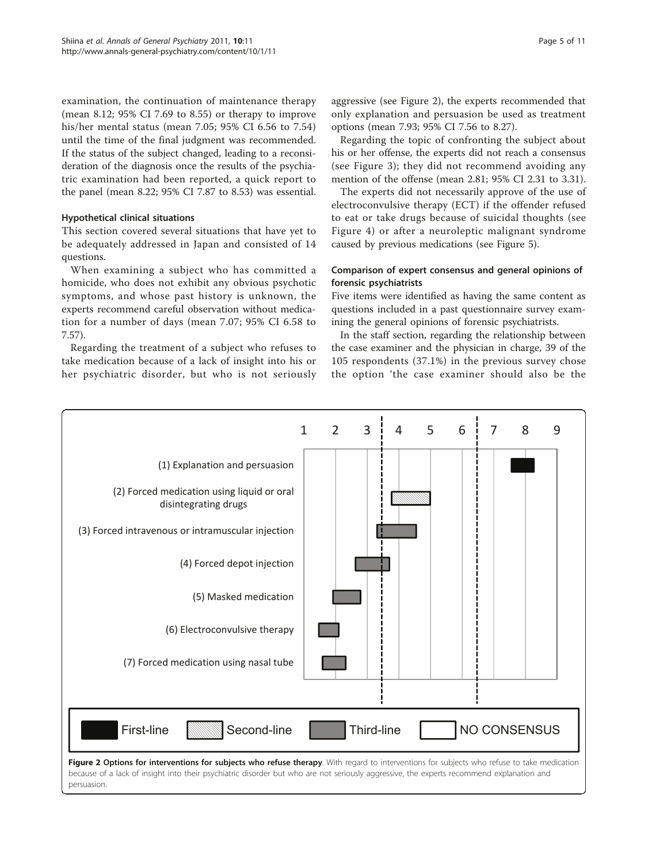examination, the continuation of maintenance therapy (mean 8.12; 95% CI 7.69 to 8.55) or therapy to improve his/her mental status (mean 7.05; 95% CI 6.56 to 7.54) until the time of the final judgment was recommended. If the status of the subject changed, leading to a reconsideration of the diagnosis once the results of the psychiatric examination had been reported, a quick report to the panel (mean 8.22; 95% CI 7.87 to 8.53) was essential.

# Hypothetical clinical situations

This section covered several situations that have yet to be adequately addressed in Japan and consisted of 14 questions.

When examining a subject who has committed a homicide, who does not exhibit any obvious psychotic symptoms, and whose past history is unknown, the experts recommend careful observation without medication for a number of days (mean 7.07; 95% CI 6.58 to 7.57).

Regarding the treatment of a subject who refuses to take medication because of a lack of insight into his or her psychiatric disorder, but who is not seriously aggressive (see Figure 2), the experts recommended that only explanation and persuasion be used as treatment options (mean 7.93; 95% CI 7.56 to 8.27).

Regarding the topic of confronting the subject about his or her offense, the experts did not reach a consensus (see Figure [3](#page-5-0)); they did not recommend avoiding any mention of the offense (mean 2.81; 95% CI 2.31 to 3.31).

The experts did not necessarily approve of the use of electroconvulsive therapy (ECT) if the offender refused to eat or take drugs because of suicidal thoughts (see Figure [4\)](#page-6-0) or after a neuroleptic malignant syndrome caused by previous medications (see Figure [5\)](#page-7-0).

# Comparison of expert consensus and general opinions of forensic psychiatrists

Five items were identified as having the same content as questions included in a past questionnaire survey examining the general opinions of forensic psychiatrists.

In the staff section, regarding the relationship between the case examiner and the physician in charge, 39 of the 105 respondents (37.1%) in the previous survey chose the option 'the case examiner should also be the

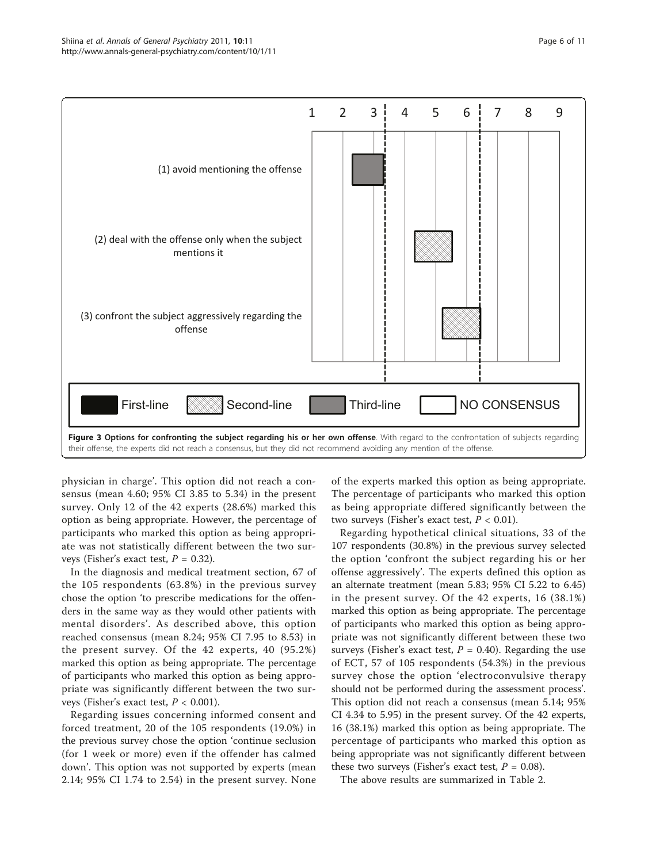<span id="page-5-0"></span>

physician in charge'. This option did not reach a consensus (mean 4.60; 95% CI 3.85 to 5.34) in the present survey. Only 12 of the 42 experts (28.6%) marked this option as being appropriate. However, the percentage of participants who marked this option as being appropriate was not statistically different between the two surveys (Fisher's exact test,  $P = 0.32$ ).

In the diagnosis and medical treatment section, 67 of the 105 respondents (63.8%) in the previous survey chose the option 'to prescribe medications for the offenders in the same way as they would other patients with mental disorders'. As described above, this option reached consensus (mean 8.24; 95% CI 7.95 to 8.53) in the present survey. Of the 42 experts, 40 (95.2%) marked this option as being appropriate. The percentage of participants who marked this option as being appropriate was significantly different between the two surveys (Fisher's exact test,  $P < 0.001$ ).

Regarding issues concerning informed consent and forced treatment, 20 of the 105 respondents (19.0%) in the previous survey chose the option 'continue seclusion (for 1 week or more) even if the offender has calmed down'. This option was not supported by experts (mean 2.14; 95% CI 1.74 to 2.54) in the present survey. None of the experts marked this option as being appropriate. The percentage of participants who marked this option as being appropriate differed significantly between the two surveys (Fisher's exact test,  $P < 0.01$ ).

Regarding hypothetical clinical situations, 33 of the 107 respondents (30.8%) in the previous survey selected the option 'confront the subject regarding his or her offense aggressively'. The experts defined this option as an alternate treatment (mean 5.83; 95% CI 5.22 to 6.45) in the present survey. Of the 42 experts, 16 (38.1%) marked this option as being appropriate. The percentage of participants who marked this option as being appropriate was not significantly different between these two surveys (Fisher's exact test,  $P = 0.40$ ). Regarding the use of ECT, 57 of 105 respondents (54.3%) in the previous survey chose the option 'electroconvulsive therapy should not be performed during the assessment process'. This option did not reach a consensus (mean 5.14; 95% CI 4.34 to 5.95) in the present survey. Of the 42 experts, 16 (38.1%) marked this option as being appropriate. The percentage of participants who marked this option as being appropriate was not significantly different between these two surveys (Fisher's exact test,  $P = 0.08$ ).

The above results are summarized in Table [2](#page-7-0).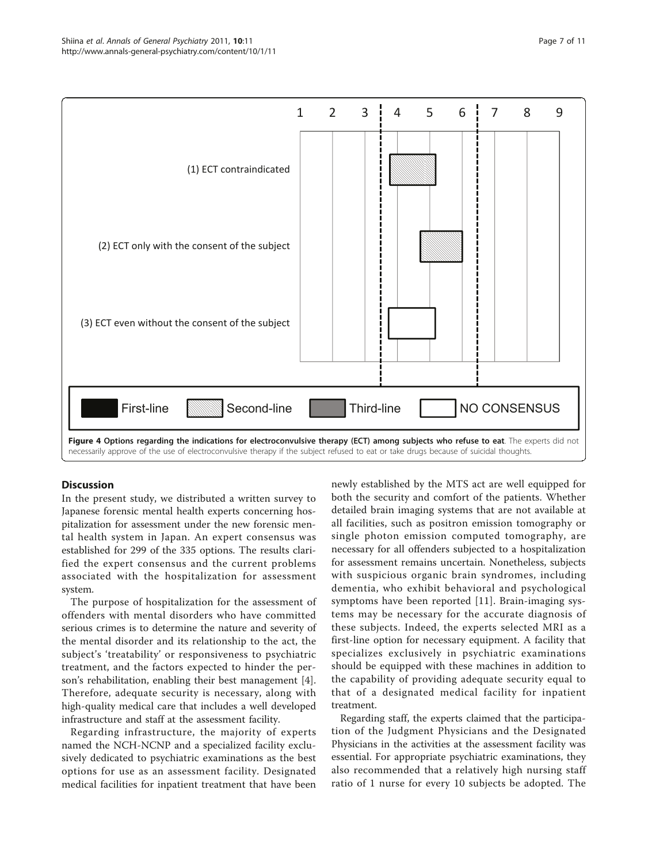<span id="page-6-0"></span>

# **Discussion**

In the present study, we distributed a written survey to Japanese forensic mental health experts concerning hospitalization for assessment under the new forensic mental health system in Japan. An expert consensus was established for 299 of the 335 options. The results clarified the expert consensus and the current problems associated with the hospitalization for assessment system.

The purpose of hospitalization for the assessment of offenders with mental disorders who have committed serious crimes is to determine the nature and severity of the mental disorder and its relationship to the act, the subject's 'treatability' or responsiveness to psychiatric treatment, and the factors expected to hinder the person's rehabilitation, enabling their best management [\[4](#page-9-0)]. Therefore, adequate security is necessary, along with high-quality medical care that includes a well developed infrastructure and staff at the assessment facility.

Regarding infrastructure, the majority of experts named the NCH-NCNP and a specialized facility exclusively dedicated to psychiatric examinations as the best options for use as an assessment facility. Designated medical facilities for inpatient treatment that have been newly established by the MTS act are well equipped for both the security and comfort of the patients. Whether detailed brain imaging systems that are not available at all facilities, such as positron emission tomography or single photon emission computed tomography, are necessary for all offenders subjected to a hospitalization for assessment remains uncertain. Nonetheless, subjects with suspicious organic brain syndromes, including dementia, who exhibit behavioral and psychological symptoms have been reported [[11](#page-9-0)]. Brain-imaging systems may be necessary for the accurate diagnosis of these subjects. Indeed, the experts selected MRI as a first-line option for necessary equipment. A facility that specializes exclusively in psychiatric examinations should be equipped with these machines in addition to the capability of providing adequate security equal to that of a designated medical facility for inpatient treatment.

Regarding staff, the experts claimed that the participation of the Judgment Physicians and the Designated Physicians in the activities at the assessment facility was essential. For appropriate psychiatric examinations, they also recommended that a relatively high nursing staff ratio of 1 nurse for every 10 subjects be adopted. The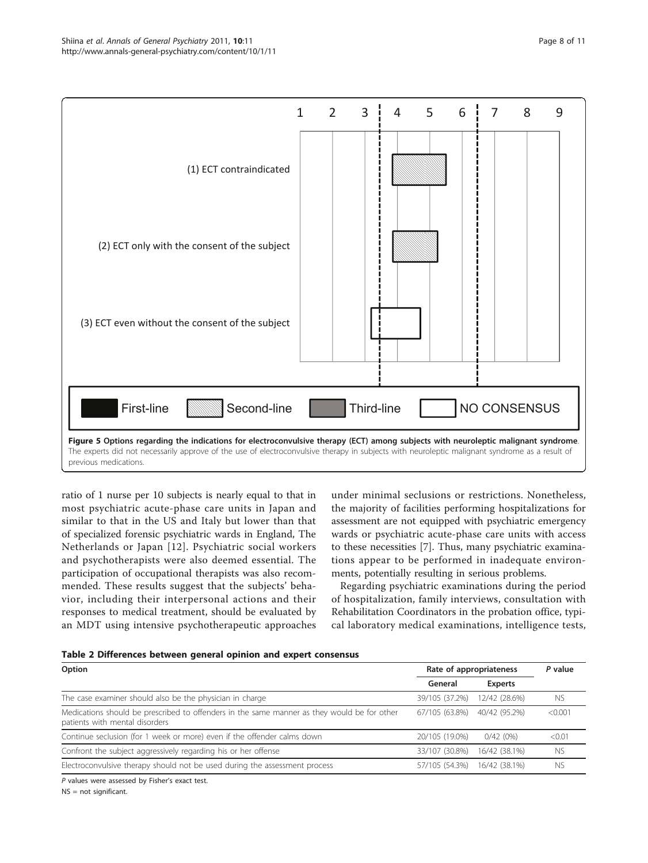<span id="page-7-0"></span>

ratio of 1 nurse per 10 subjects is nearly equal to that in most psychiatric acute-phase care units in Japan and similar to that in the US and Italy but lower than that of specialized forensic psychiatric wards in England, The Netherlands or Japan [[12\]](#page-9-0). Psychiatric social workers and psychotherapists were also deemed essential. The participation of occupational therapists was also recommended. These results suggest that the subjects' behavior, including their interpersonal actions and their responses to medical treatment, should be evaluated by an MDT using intensive psychotherapeutic approaches

under minimal seclusions or restrictions. Nonetheless, the majority of facilities performing hospitalizations for assessment are not equipped with psychiatric emergency wards or psychiatric acute-phase care units with access to these necessities [\[7](#page-9-0)]. Thus, many psychiatric examinations appear to be performed in inadequate environments, potentially resulting in serious problems.

Regarding psychiatric examinations during the period of hospitalization, family interviews, consultation with Rehabilitation Coordinators in the probation office, typical laboratory medical examinations, intelligence tests,

| Table 2 Differences between general opinion and expert consensus |  |
|------------------------------------------------------------------|--|
|------------------------------------------------------------------|--|

| Option                                                                                                                        | Rate of appropriateness |                | P value   |
|-------------------------------------------------------------------------------------------------------------------------------|-------------------------|----------------|-----------|
|                                                                                                                               | General                 | <b>Experts</b> |           |
| The case examiner should also be the physician in charge                                                                      | 39/105 (37.2%)          | 12/42 (28.6%)  | NS.       |
| Medications should be prescribed to offenders in the same manner as they would be for other<br>patients with mental disorders | 67/105 (63.8%)          | 40/42 (95.2%)  | < 0.001   |
| Continue seclusion (for 1 week or more) even if the offender calms down                                                       | 20/105 (19.0%)          | 0/42(0%)       | < 0.01    |
| Confront the subject aggressively regarding his or her offense                                                                | 33/107 (30.8%)          | 16/42 (38.1%)  | <b>NS</b> |
| Electroconvulsive therapy should not be used during the assessment process                                                    | 57/105 (54.3%)          | 16/42 (38.1%)  | <b>NS</b> |
| P values were assessed by Fisher's exact test.                                                                                |                         |                |           |

NS = not significant.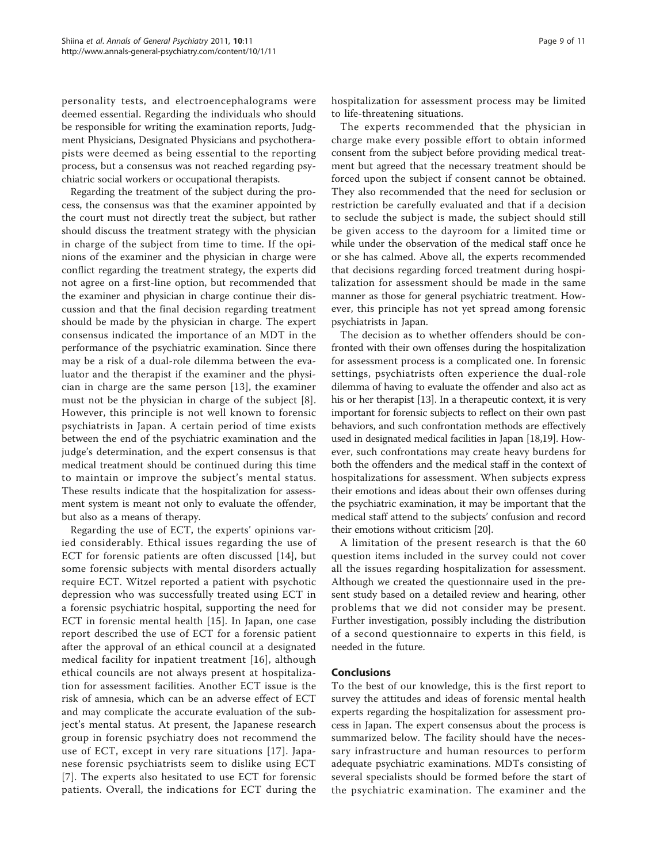personality tests, and electroencephalograms were deemed essential. Regarding the individuals who should be responsible for writing the examination reports, Judgment Physicians, Designated Physicians and psychotherapists were deemed as being essential to the reporting process, but a consensus was not reached regarding psychiatric social workers or occupational therapists.

Regarding the treatment of the subject during the process, the consensus was that the examiner appointed by the court must not directly treat the subject, but rather should discuss the treatment strategy with the physician in charge of the subject from time to time. If the opinions of the examiner and the physician in charge were conflict regarding the treatment strategy, the experts did not agree on a first-line option, but recommended that the examiner and physician in charge continue their discussion and that the final decision regarding treatment should be made by the physician in charge. The expert consensus indicated the importance of an MDT in the performance of the psychiatric examination. Since there may be a risk of a dual-role dilemma between the evaluator and the therapist if the examiner and the physician in charge are the same person [[13](#page-9-0)], the examiner must not be the physician in charge of the subject [[8](#page-9-0)]. However, this principle is not well known to forensic psychiatrists in Japan. A certain period of time exists between the end of the psychiatric examination and the judge's determination, and the expert consensus is that medical treatment should be continued during this time to maintain or improve the subject's mental status. These results indicate that the hospitalization for assessment system is meant not only to evaluate the offender, but also as a means of therapy.

Regarding the use of ECT, the experts' opinions varied considerably. Ethical issues regarding the use of ECT for forensic patients are often discussed [\[14](#page-10-0)], but some forensic subjects with mental disorders actually require ECT. Witzel reported a patient with psychotic depression who was successfully treated using ECT in a forensic psychiatric hospital, supporting the need for ECT in forensic mental health [\[15\]](#page-10-0). In Japan, one case report described the use of ECT for a forensic patient after the approval of an ethical council at a designated medical facility for inpatient treatment [[16\]](#page-10-0), although ethical councils are not always present at hospitalization for assessment facilities. Another ECT issue is the risk of amnesia, which can be an adverse effect of ECT and may complicate the accurate evaluation of the subject's mental status. At present, the Japanese research group in forensic psychiatry does not recommend the use of ECT, except in very rare situations [[17](#page-10-0)]. Japanese forensic psychiatrists seem to dislike using ECT [[7](#page-9-0)]. The experts also hesitated to use ECT for forensic patients. Overall, the indications for ECT during the hospitalization for assessment process may be limited to life-threatening situations.

The experts recommended that the physician in charge make every possible effort to obtain informed consent from the subject before providing medical treatment but agreed that the necessary treatment should be forced upon the subject if consent cannot be obtained. They also recommended that the need for seclusion or restriction be carefully evaluated and that if a decision to seclude the subject is made, the subject should still be given access to the dayroom for a limited time or while under the observation of the medical staff once he or she has calmed. Above all, the experts recommended that decisions regarding forced treatment during hospitalization for assessment should be made in the same manner as those for general psychiatric treatment. However, this principle has not yet spread among forensic psychiatrists in Japan.

The decision as to whether offenders should be confronted with their own offenses during the hospitalization for assessment process is a complicated one. In forensic settings, psychiatrists often experience the dual-role dilemma of having to evaluate the offender and also act as his or her therapist [[13](#page-9-0)]. In a therapeutic context, it is very important for forensic subjects to reflect on their own past behaviors, and such confrontation methods are effectively used in designated medical facilities in Japan [\[18,19](#page-10-0)]. However, such confrontations may create heavy burdens for both the offenders and the medical staff in the context of hospitalizations for assessment. When subjects express their emotions and ideas about their own offenses during the psychiatric examination, it may be important that the medical staff attend to the subjects' confusion and record their emotions without criticism [[20](#page-10-0)].

A limitation of the present research is that the 60 question items included in the survey could not cover all the issues regarding hospitalization for assessment. Although we created the questionnaire used in the present study based on a detailed review and hearing, other problems that we did not consider may be present. Further investigation, possibly including the distribution of a second questionnaire to experts in this field, is needed in the future.

# Conclusions

To the best of our knowledge, this is the first report to survey the attitudes and ideas of forensic mental health experts regarding the hospitalization for assessment process in Japan. The expert consensus about the process is summarized below. The facility should have the necessary infrastructure and human resources to perform adequate psychiatric examinations. MDTs consisting of several specialists should be formed before the start of the psychiatric examination. The examiner and the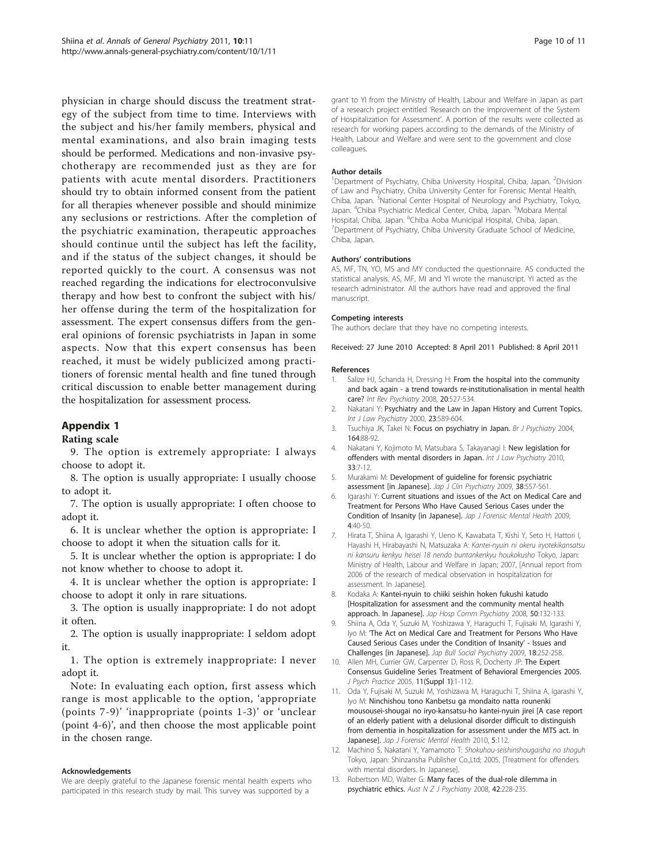<span id="page-9-0"></span>physician in charge should discuss the treatment strategy of the subject from time to time. Interviews with the subject and his/her family members, physical and mental examinations, and also brain imaging tests should be performed. Medications and non-invasive psychotherapy are recommended just as they are for patients with acute mental disorders. Practitioners should try to obtain informed consent from the patient for all therapies whenever possible and should minimize any seclusions or restrictions. After the completion of the psychiatric examination, therapeutic approaches should continue until the subject has left the facility, and if the status of the subject changes, it should be reported quickly to the court. A consensus was not reached regarding the indications for electroconvulsive therapy and how best to confront the subject with his/ her offense during the term of the hospitalization for assessment. The expert consensus differs from the general opinions of forensic psychiatrists in Japan in some aspects. Now that this expert consensus has been reached, it must be widely publicized among practitioners of forensic mental health and fine tuned through critical discussion to enable better management during the hospitalization for assessment process.

# Appendix 1

9. The option is extremely appropriate: I always choose to adopt it.

8. The option is usually appropriate: I usually choose to adopt it.

7. The option is usually appropriate: I often choose to adopt it.

6. It is unclear whether the option is appropriate: I choose to adopt it when the situation calls for it.

5. It is unclear whether the option is appropriate: I do not know whether to choose to adopt it.

4. It is unclear whether the option is appropriate: I choose to adopt it only in rare situations.

3. The option is usually inappropriate: I do not adopt it often.

2. The option is usually inappropriate: I seldom adopt it.

1. The option is extremely inappropriate: I never adopt it.

Note: In evaluating each option, first assess which range is most applicable to the option, 'appropriate (points 7-9)' 'inappropriate (points 1-3)' or 'unclear (point 4-6)', and then choose the most applicable point in the chosen range.

#### Acknowledgements

We are deeply grateful to the Japanese forensic mental health experts who participated in this research study by mail. This survey was supported by a

grant to YI from the Ministry of Health, Labour and Welfare in Japan as part of a research project entitled 'Research on the Improvement of the System of Hospitalization for Assessment'. A portion of the results were collected as research for working papers according to the demands of the Ministry of Health, Labour and Welfare and were sent to the government and close colleagues.

#### Author details

<sup>1</sup>Department of Psychiatry, Chiba University Hospital, Chiba, Japan. <sup>2</sup>Division of Law and Psychiatry, Chiba University Center for Forensic Mental Health, Chiba, Japan. <sup>3</sup>National Center Hospital of Neurology and Psychiatry, Tokyo, Japan. <sup>4</sup>Chiba Psychiatric Medical Center, Chiba, Japan. <sup>5</sup>Mobara Mental Hospital, Chiba, Japan. <sup>6</sup>Chiba Aoba Municipal Hospital, Chiba, Japan.<br><sup>7</sup>Department of Psychiatry, Chiba University Graduate School of Med <sup>7</sup>Department of Psychiatry, Chiba University Graduate School of Medicine, Chiba, Japan.

#### Authors' contributions

AS, MF, TN, YO, MS and MY conducted the questionnaire. AS conducted the statistical analysis. AS, MF, MI and YI wrote the manuscript. YI acted as the research administrator. All the authors have read and approved the final manuscript.

#### Competing interests

The authors declare that they have no competing interests.

Received: 27 June 2010 Accepted: 8 April 2011 Published: 8 April 2011

#### References

- 1. Salize HJ, Schanda H, Dressing H: [From the hospital into the community](http://www.ncbi.nlm.nih.gov/pubmed/19085409?dopt=Abstract) [and back again - a trend towards re-institutionalisation in mental health](http://www.ncbi.nlm.nih.gov/pubmed/19085409?dopt=Abstract) [care?](http://www.ncbi.nlm.nih.gov/pubmed/19085409?dopt=Abstract) Int Rev Psychiatry 2008, 20:527-534.
- Nakatani Y: [Psychiatry and the Law in Japan History and Current Topics.](http://www.ncbi.nlm.nih.gov/pubmed/11143956?dopt=Abstract) Int J Law Psychiatry 2000, 23:589-604.
- 3. Tsuchiya JK, Takei N: Focus on psychiatry in Japan. Br J Psychiatry 2004, 164:88-92.
- 4. Nakatani Y, Kojimoto M, Matsubara S, Takayanagi I: [New legislation for](http://www.ncbi.nlm.nih.gov/pubmed/19906429?dopt=Abstract) [offenders with mental disorders in Japan.](http://www.ncbi.nlm.nih.gov/pubmed/19906429?dopt=Abstract) Int J Law Psychiatry 2010, 33:7-12.
- 5. Murakami M: Development of guideline for forensic psychiatric assessment [in Japanese]. Jap J Clin Psychiatry 2009, 38:557-561.
- 6. Igarashi Y: Current situations and issues of the Act on Medical Care and Treatment for Persons Who Have Caused Serious Cases under the Condition of Insanity [in Japanese]. Jap J Forensic Mental Health 2009, 4:40-50.
- 7. Hirata T, Shiina A, Igarashi Y, Ueno K, Kawabata T, Kishi Y, Seto H, Hattori I, Hayashi H, Hirabayashi N, Matsuzaka A: Kantei-nyuin ni okeru iryotekikansatsu ni kansuru kenkyu heisei 18 nendo buntankenkyu houkokusho Tokyo, Japan: Ministry of Health, Labour and Welfare in Japan; 2007, [Annual report from 2006 of the research of medical observation in hospitalization for assessment. In Japanese].
- 8. Kodaka A: Kantei-nyuin to chiiki seishin hoken fukushi katudo [Hospitalization for assessment and the community mental health approach. In Japanese]. Jap Hosp Comm Psychiatry 2008, 50:132-133.
- 9. Shiina A, Oda Y, Suzuki M, Yoshizawa Y, Haraguchi T, Fujisaki M, Igarashi Y, Iyo M: 'The Act on Medical Care and Treatment for Persons Who Have Caused Serious Cases under the Condition of Insanity' - Issues and Challenges [in Japanese]. Jap Bull Social Psychiatry 2009, 18:252-258.
- 10. Allen MH, Currier GW, Carpenter D, Ross R, Docherty JP: The Expert Consensus Guideline Series Treatment of Behavioral Emergencies 2005. J Psych Practice 2005, 11(Suppl 1):1-112.
- 11. Oda Y, Fujisaki M, Suzuki M, Yoshizawa M, Haraguchi T, Shiina A, Igarashi Y, Iyo M: Ninchishou tono Kanbetsu ga mondaito natta rounenki mousousei-shougai no iryo-kansatsu-ho kantei-nyuin jirei [A case report of an elderly patient with a delusional disorder difficult to distinguish from dementia in hospitalization for assessment under the MTS act. In Japanesel. Jap J Forensic Mental Health 2010, 5:112.
- 12. Machino S, Nakatani Y, Yamamoto T: Shokuhou-seishinshougaisha no shoguh Tokyo, Japan: Shinzansha Publisher Co.,Ltd; 2005, [Treatment for offenders with mental disorders. In Japanese].
- 13. Robertson MD, Walter G: [Many faces of the dual-role dilemma in](http://www.ncbi.nlm.nih.gov/pubmed/18247198?dopt=Abstract) [psychiatric ethics.](http://www.ncbi.nlm.nih.gov/pubmed/18247198?dopt=Abstract) Aust N Z J Psychiatry 2008, 42:228-235.